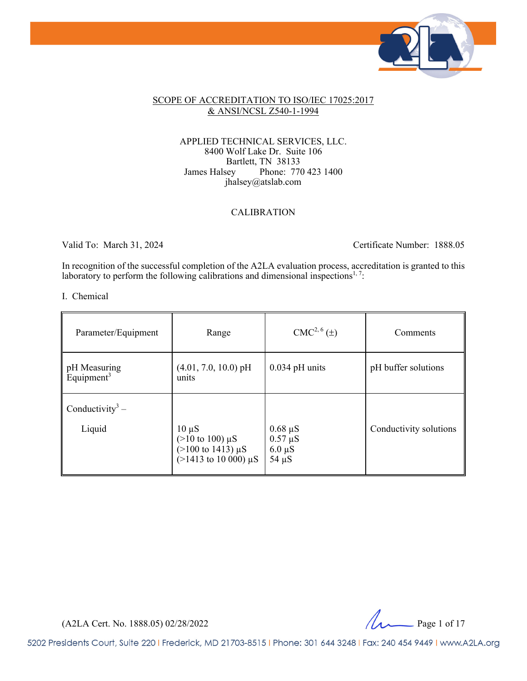

#### SCOPE OF ACCREDITATION TO ISO/IEC 17025:2017 & ANSI/NCSL Z540-1-1994

#### APPLIED TECHNICAL SERVICES, LLC. 8400 Wolf Lake Dr. Suite 106 Bartlett, TN 38133 James Halsey Phone: 770 423 1400 jhalsey@atslab.com

#### CALIBRATION

Valid To: March 31, 2024 Certificate Number: 1888.05

In recognition of the successful completion of the A2LA evaluation process, accreditation is granted to this laboratory to perform the following calibrations and dimensional inspections<sup>1, 7</sup>:

#### I. Chemical

| Parameter/Equipment                    | Range                                                                                              | CMC <sup>2, 6</sup> (±)                                   | Comments               |
|----------------------------------------|----------------------------------------------------------------------------------------------------|-----------------------------------------------------------|------------------------|
| pH Measuring<br>Equipment <sup>3</sup> | $(4.01, 7.0, 10.0)$ pH<br>units                                                                    | $0.034$ pH units                                          | pH buffer solutions    |
| Conductivity <sup>3</sup> –<br>Liquid  | $10 \mu S$<br>$(>10 \text{ to } 100) \mu S$<br>(>100 to 1413) $\mu$ S<br>(>1413 to 10 000) $\mu$ S | $0.68 \mu S$<br>$0.57 \mu S$<br>$6.0 \mu S$<br>$54 \mu S$ | Conductivity solutions |

(A2LA Cert. No. 1888.05) 02/28/2022 Page 1 of 17

5202 Presidents Court, Suite 220 | Frederick, MD 21703-8515 | Phone: 301 644 3248 | Fax: 240 454 9449 | www.A2LA.org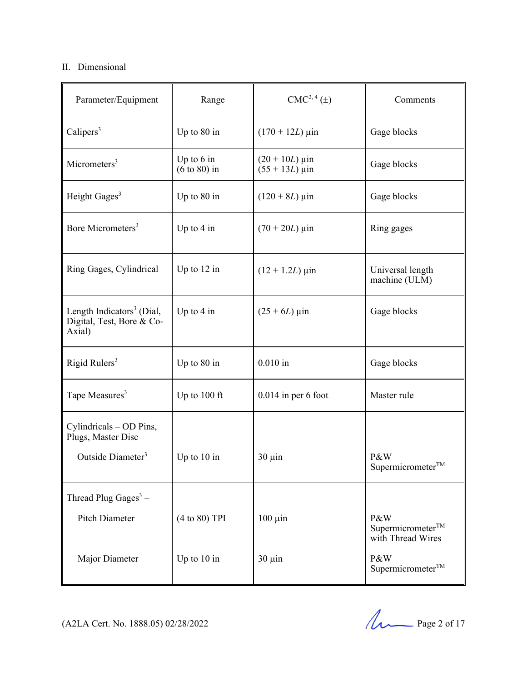### II. Dimensional

| Parameter/Equipment                                                          | Range                                   | CMC <sup>2, 4</sup> (±)              | Comments                                                  |
|------------------------------------------------------------------------------|-----------------------------------------|--------------------------------------|-----------------------------------------------------------|
| Calipers <sup>3</sup>                                                        | Up to $80$ in                           | $(170 + 12L) \,\mu \text{in}$        | Gage blocks                                               |
| Micrometers <sup>3</sup>                                                     | Up to $6$ in<br>$(6 \text{ to } 80)$ in | $(20 + 10L)$ µin<br>$(55 + 13L)$ µin | Gage blocks                                               |
| Height Gages <sup>3</sup>                                                    | Up to $80$ in                           | $(120 + 8L) \,\mu \text{in}$         | Gage blocks                                               |
| Bore Micrometers <sup>3</sup>                                                | Up to $4$ in                            | $(70 + 20L)$ µin                     | Ring gages                                                |
| Ring Gages, Cylindrical                                                      | Up to $12$ in                           | $(12 + 1.2L) \,\mu m$                | Universal length<br>machine (ULM)                         |
| Length Indicators <sup>3</sup> (Dial,<br>Digital, Test, Bore & Co-<br>Axial) | Up to $4$ in                            | $(25 + 6L)$ µin                      | Gage blocks                                               |
| Rigid Rulers <sup>3</sup>                                                    | Up to 80 in                             | $0.010$ in                           | Gage blocks                                               |
| Tape Measures <sup>3</sup>                                                   | Up to $100$ ft                          | $0.014$ in per 6 foot                | Master rule                                               |
| Cylindricals – OD Pins,<br>Plugs, Master Disc                                |                                         |                                      |                                                           |
| Outside Diameter <sup>3</sup>                                                | Up to $10$ in                           | $30 \mu$ in                          | P&W<br>Supermicrometer <sup>TM</sup>                      |
| Thread Plug Gages <sup>3</sup> -                                             |                                         |                                      |                                                           |
| Pitch Diameter                                                               | (4 to 80) TPI                           | $100 \mu$ in                         | P&W<br>Supermicrometer <sup>TM</sup><br>with Thread Wires |
| Major Diameter                                                               | Up to $10$ in                           | $30 \mu$ in                          | P&W<br>$Supermicrometer^{TM}$                             |

(A2LA Cert. No. 1888.05) 02/28/2022 Page 2 of 17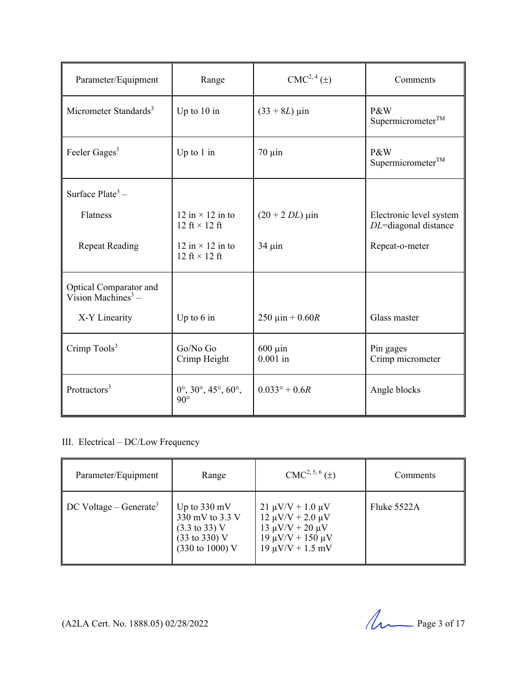| Parameter/Equipment                                      | Range                                                            | CMC <sup>2, 4</sup> (±)      | Comments                                           |
|----------------------------------------------------------|------------------------------------------------------------------|------------------------------|----------------------------------------------------|
| Micrometer Standards <sup>3</sup>                        | Up to $10$ in                                                    | $(33 + 8L) \,\mu \text{in}$  | P&W<br>Supermicrometer <sup>TM</sup>               |
| Feeler Gages <sup>3</sup>                                | Up to $1$ in                                                     | $70 \mu$ in                  | P&W<br>Supermicrometer <sup>TM</sup>               |
| Surface $Place^3$ –                                      |                                                                  |                              |                                                    |
| Flatness                                                 | 12 in $\times$ 12 in to<br>12 ft $\times$ 12 ft                  | $(20 + 2 DL) \,\mu\text{in}$ | Electronic level system<br>$DL$ =diagonal distance |
| <b>Repeat Reading</b>                                    | 12 in $\times$ 12 in to<br>12 ft $\times$ 12 ft                  | $34 \mu$ in                  | Repeat-o-meter                                     |
| Optical Comparator and<br>Vision Machines <sup>3</sup> – |                                                                  |                              |                                                    |
| X-Y Linearity                                            | Up to $6$ in                                                     | 250 μin + $0.60R$            | Glass master                                       |
| Crimp Tools <sup>3</sup>                                 | Go/No Go<br>Crimp Height                                         | $600 \mu$ in<br>$0.001$ in   | Pin gages<br>Crimp micrometer                      |
| Protractors <sup>3</sup>                                 | $0^{\circ}, 30^{\circ}, 45^{\circ}, 60^{\circ},$<br>$90^{\circ}$ | $0.033^{\circ} + 0.6R$       | Angle blocks                                       |

# III. Electrical – DC/Low Frequency

| Parameter/Equipment                            | Range                                                                                                                        | $CMC2, 5, 6(\pm)$                                                                                                                      | Comments    |
|------------------------------------------------|------------------------------------------------------------------------------------------------------------------------------|----------------------------------------------------------------------------------------------------------------------------------------|-------------|
| $\parallel$ DC Voltage – Generate <sup>3</sup> | Up to $330 \text{ mV}$<br>330 mV to 3.3 V<br>$(3.3 \text{ to } 33) \text{ V}$<br>$(33 \text{ to } 330)$ V<br>(330 to 1000) V | $21 \mu V/V + 1.0 \mu V$<br>$12 \mu V/V + 2.0 \mu V$<br>$13 \mu V/V + 20 \mu V$<br>$19 \mu V/V + 150 \mu V$<br>$19 \mu V/V + 1.5 \ mV$ | Fluke 5522A |

(A2LA Cert. No. 1888.05) 02/28/2022 Page 3 of 17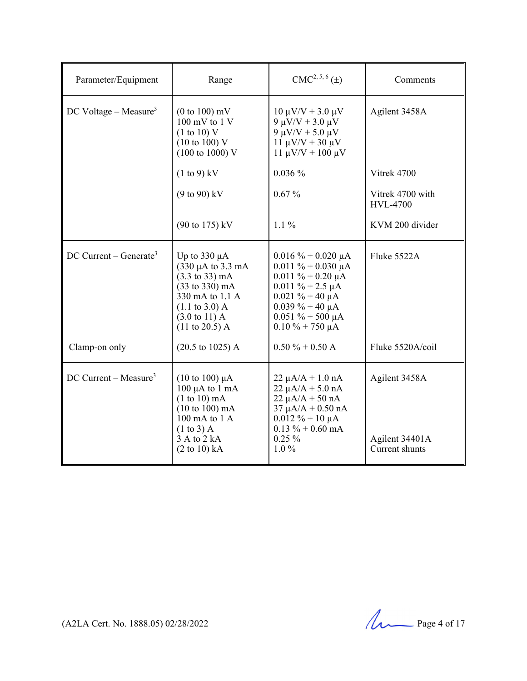| Parameter/Equipment                 | Range                                                                                                                                                                                                                                                    | CMC <sup>2, 5, 6</sup> (±)                                                                                                                                                                                    | Comments                                          |
|-------------------------------------|----------------------------------------------------------------------------------------------------------------------------------------------------------------------------------------------------------------------------------------------------------|---------------------------------------------------------------------------------------------------------------------------------------------------------------------------------------------------------------|---------------------------------------------------|
| $DC$ Voltage – Measure <sup>3</sup> | $(0 to 100)$ mV<br>$100 \text{ mV}$ to $1 \text{V}$<br>(1 to 10) V<br>$(10 \text{ to } 100)$ V<br>$(100 \text{ to } 1000) \text{ V}$                                                                                                                     | $10 \mu V/V + 3.0 \mu V$<br>9 μV/V + 3.0 μV<br>9 μV/V + 5.0 μV<br>$11 \mu V/V + 30 \mu V$<br>$11 \mu V/V + 100 \mu V$                                                                                         | Agilent 3458A                                     |
|                                     | $(1 to 9)$ kV                                                                                                                                                                                                                                            | 0.036%                                                                                                                                                                                                        | Vitrek 4700                                       |
|                                     | $(9 to 90)$ kV                                                                                                                                                                                                                                           | $0.67\%$                                                                                                                                                                                                      | Vitrek 4700 with<br><b>HVL-4700</b>               |
|                                     | (90 to 175) kV                                                                                                                                                                                                                                           | $1.1\%$                                                                                                                                                                                                       | KVM 200 divider                                   |
| DC Current – Generate <sup>3</sup>  | Up to $330 \mu A$<br>$(330 \mu A \text{ to } 3.3 \text{ mA})$<br>$(3.3 \text{ to } 33) \text{ mA}$<br>$(33 \text{ to } 330) \text{ mA}$<br>330 mA to 1.1 A<br>$(1.1 \text{ to } 3.0)$ A<br>$(3.0 \text{ to } 11) \text{ A}$<br>$(11 \text{ to } 20.5)$ A | $0.016 \% + 0.020 \mu A$<br>$0.011 \% + 0.030 \mu A$<br>$0.011 \% + 0.20 \mu A$<br>$0.011 \% + 2.5 \mu A$<br>$0.021 \% + 40 \mu A$<br>$0.039\% + 40 \mu A$<br>$0.051 \% + 500 \mu A$<br>$0.10 \% + 750 \mu A$ | Fluke 5522A                                       |
| Clamp-on only                       | $(20.5 \text{ to } 1025)$ A                                                                                                                                                                                                                              | $0.50 \% + 0.50 A$                                                                                                                                                                                            | Fluke 5520A/coil                                  |
| DC Current – Measure <sup>3</sup>   | $(10 \text{ to } 100) \mu A$<br>$100 \mu A$ to $1 \text{ mA}$<br>$(1 to 10)$ mA<br>$(10 \text{ to } 100) \text{ mA}$<br>$100 \text{ mA}$ to $1 \text{ A}$<br>$(1 \text{ to } 3)$ A<br>3 A to 2 kA<br>$(2 \text{ to } 10) \text{ kA}$                     | $22 \mu A/A + 1.0 \text{ nA}$<br>$22 \mu A/A + 5.0 nA$<br>$22 \mu A/A + 50 nA$<br>$37 \mu A/A + 0.50 \text{ nA}$<br>$0.012 \% + 10 \mu A$<br>$0.13 \% + 0.60$ mA<br>$0.25\%$<br>$1.0\%$                       | Agilent 3458A<br>Agilent 34401A<br>Current shunts |

(A2LA Cert. No. 1888.05) 02/28/2022 Page 4 of 17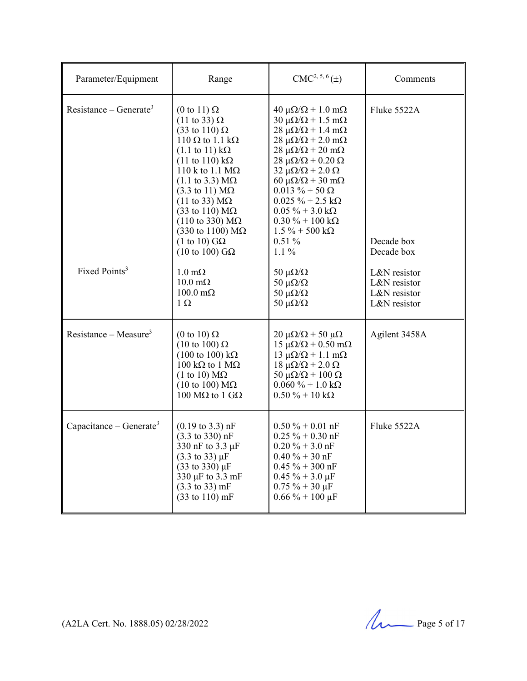| Parameter/Equipment                 | Range                                                                                                                                                                                                                                                                                                                                                                                                                                                                                                         | $CMC2, 5, 6(\pm)$                                                                                                                                                                                                                                                                                                                                                                                                                                                                                                    | Comments                                                                   |
|-------------------------------------|---------------------------------------------------------------------------------------------------------------------------------------------------------------------------------------------------------------------------------------------------------------------------------------------------------------------------------------------------------------------------------------------------------------------------------------------------------------------------------------------------------------|----------------------------------------------------------------------------------------------------------------------------------------------------------------------------------------------------------------------------------------------------------------------------------------------------------------------------------------------------------------------------------------------------------------------------------------------------------------------------------------------------------------------|----------------------------------------------------------------------------|
| Resistance – Generate <sup>3</sup>  | (0 to 11) $\Omega$<br>$(11 \text{ to } 33) \Omega$<br>$(33 \text{ to } 110) \Omega$<br>110 $\Omega$ to 1.1 k $\Omega$<br>$(1.1 \text{ to } 11) \text{ k}\Omega$<br>$(11$ to $110)$ k $\Omega$<br>110 k to 1.1 $M\Omega$<br>$(1.1 \text{ to } 3.3) \text{ M}\Omega$<br>$(3.3 \text{ to } 11) \text{ M}\Omega$<br>$(11 \text{ to } 33) \text{ M}\Omega$<br>$(33 \text{ to } 110) \text{ M}\Omega$<br>$(110 \text{ to } 330) \text{ M}\Omega$<br>$(330 \text{ to } 1100) \text{ M}\Omega$<br>(1 to 10) $G\Omega$ | $40 \mu\Omega/\Omega + 1.0 \text{ m}\Omega$<br>$30 \mu\Omega/\Omega + 1.5 \text{ m}\Omega$<br>$28 \mu\Omega/\Omega + 1.4 \text{ m}\Omega$<br>$28 \mu\Omega/\Omega$ + 2.0 m $\Omega$<br>$28 \mu\Omega/\Omega$ + 20 m $\Omega$<br>$28 \mu\Omega/\Omega + 0.20 \Omega$<br>$32 \mu\Omega/\Omega$ + 2.0 $\Omega$<br>$60 \mu\Omega/\Omega + 30 \mu\Omega$<br>$0.013 \% + 50 \Omega$<br>$0.025~\%$ + 2.5 kΩ<br>$0.05\% + 3.0 \text{ k}\Omega$<br>$0.30\% + 100\text{ k}\Omega$<br>$1.5\% + 500 \text{ k}\Omega$<br>$0.51\%$ | Fluke $5522A$<br>Decade box                                                |
| Fixed Points <sup>3</sup>           | $(10 \text{ to } 100)$ GQ<br>$1.0 \text{ m}\Omega$<br>$10.0 \text{ m}\Omega$<br>$100.0 \text{ m}\Omega$<br>$1 \Omega$                                                                                                                                                                                                                                                                                                                                                                                         | $1.1\%$<br>50 $\mu\Omega/\Omega$<br>50 $\mu\Omega/\Omega$<br>50 $\mu\Omega/\Omega$<br>50 $\mu\Omega/\Omega$                                                                                                                                                                                                                                                                                                                                                                                                          | Decade box<br>L&N resistor<br>L&N resistor<br>L&N resistor<br>L&N resistor |
| Resistance – Measure <sup>3</sup>   | (0 to 10) $\Omega$<br>$(10 \text{ to } 100) \Omega$<br>$(100 \text{ to } 100) \text{ k}\Omega$<br>100 kΩ to 1 MΩ<br>$(1 \text{ to } 10) \text{ M}\Omega$<br>$(10 \text{ to } 100) \text{ M}\Omega$<br>100 MΩ to 1 GΩ                                                                                                                                                                                                                                                                                          | $20 \mu\Omega/\Omega$ + 50 $\mu\Omega$<br>$15 \mu\Omega/\Omega + 0.50 \text{ mA}$<br>$13 \mu\Omega/\Omega + 1.1 \text{ m}\Omega$<br>$18 \mu\Omega/\Omega + 2.0 \Omega$<br>50 μ $\Omega/\Omega$ + 100 Ω<br>$0.060\% + 1.0 \text{ k}\Omega$<br>$0.50 \% + 10 k\Omega$                                                                                                                                                                                                                                                  | Agilent 3458A                                                              |
| Capacitance – Generate <sup>3</sup> | $(0.19 \text{ to } 3.3) \text{ nF}$<br>$(3.3 \text{ to } 330) \text{ nF}$<br>330 nF to 3.3 µF<br>$(3.3 \text{ to } 33) \mu F$<br>$(33 \text{ to } 330) \mu F$<br>330 µF to 3.3 mF<br>$(3.3 \text{ to } 33) \text{ mF}$<br>$(33 \text{ to } 110) \text{ mF}$                                                                                                                                                                                                                                                   | $0.50 \% + 0.01$ nF<br>$0.25 \% + 0.30 nF$<br>$0.20 \% + 3.0 nF$<br>$0.40 \% + 30 nF$<br>$0.45 \% + 300$ nF<br>$0.45 \% + 3.0 \mu F$<br>$0.75 \% + 30 \mu F$<br>$0.66\% + 100 \,\mu F$                                                                                                                                                                                                                                                                                                                               | Fluke 5522A                                                                |

(A2LA Cert. No. 1888.05) 02/28/2022 Page 5 of 17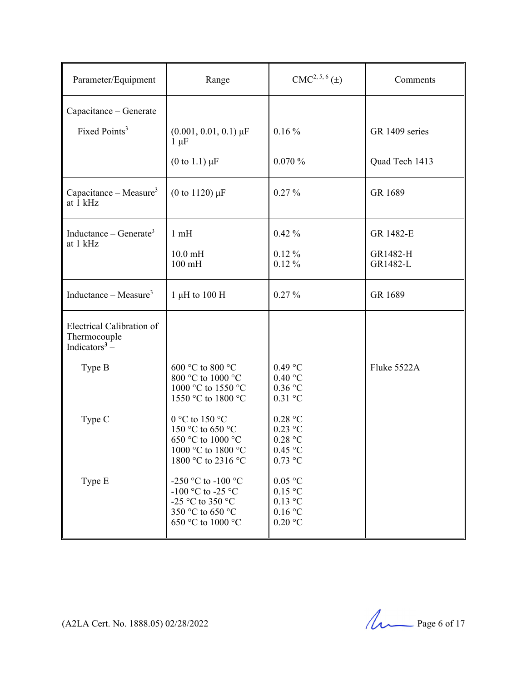| Parameter/Equipment                                                      | Range                                                                                                | $CMC2, 5, 6(\pm)$                                                          | Comments             |
|--------------------------------------------------------------------------|------------------------------------------------------------------------------------------------------|----------------------------------------------------------------------------|----------------------|
| Capacitance - Generate                                                   |                                                                                                      |                                                                            |                      |
| Fixed Points <sup>3</sup>                                                | $(0.001, 0.01, 0.1) \,\mu\text{F}$<br>$1 \mu F$                                                      | $0.16\%$                                                                   | GR 1409 series       |
|                                                                          | $(0 \text{ to } 1.1) \mu F$                                                                          | 0.070%                                                                     | Quad Tech 1413       |
| Capacitance – Measure <sup>3</sup><br>at 1 kHz                           | (0 to 1120) $\mu$ F                                                                                  | $0.27\%$                                                                   | GR 1689              |
| Inductance – Generate <sup>3</sup><br>at 1 kHz                           | 1mH                                                                                                  | $0.42\%$                                                                   | GR 1482-E            |
|                                                                          | $10.0 \text{ mH}$<br>$100$ mH                                                                        | $0.12\%$<br>$0.12\%$                                                       | GR1482-H<br>GR1482-L |
| Inductance – Measure <sup>3</sup>                                        | 1 µH to 100 H                                                                                        | $0.27\%$                                                                   | GR 1689              |
| Electrical Calibration of<br>Thermocouple<br>Indicators <sup>3</sup> $-$ |                                                                                                      |                                                                            |                      |
| Type B                                                                   | 600 °C to 800 °C<br>800 °C to 1000 °C<br>1000 °C to 1550 °C<br>1550 °C to 1800 °C                    | $0.49$ °C<br>0.40 °C<br>$0.36$ °C<br>$0.31$ °C                             | Fluke 5522A          |
| Type C                                                                   | 0 °C to 150 °C<br>150 °C to 650 °C<br>650 °C to 1000 °C<br>1000 °C to 1800 °C<br>1800 °C to 2316 °C  | 0.28 °C<br>$0.23$ °C<br>0.28 °C<br>$0.45~^\circ\mathrm{C}$<br>$0.73$ °C    |                      |
| Type E                                                                   | -250 °C to -100 °C<br>-100 °C to -25 °C<br>-25 °C to 350 °C<br>350 °C to 650 °C<br>650 °C to 1000 °C | $0.05\ ^{\circ}\mathrm{C}$<br>0.15 °C<br>$0.13$ °C<br>0.16 °C<br>$0.20$ °C |                      |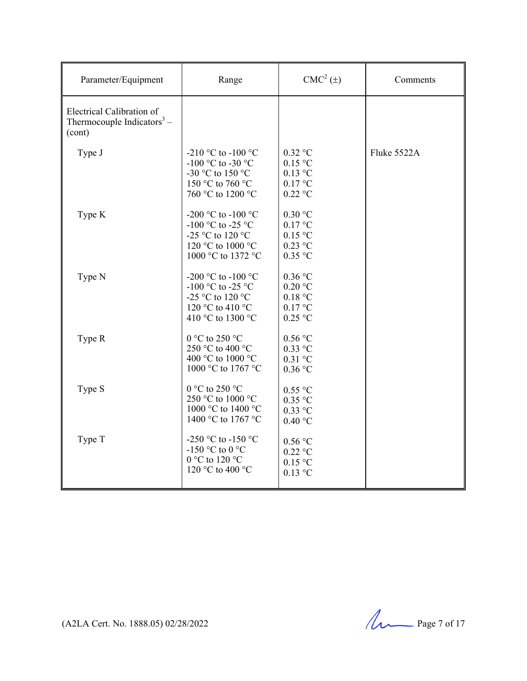| Parameter/Equipment                                                           | Range                                                                                                  | $CMC2(\pm)$                                                                  | Comments    |
|-------------------------------------------------------------------------------|--------------------------------------------------------------------------------------------------------|------------------------------------------------------------------------------|-------------|
| Electrical Calibration of<br>Thermocouple Indicators <sup>3</sup> –<br>(cont) |                                                                                                        |                                                                              |             |
| Type J                                                                        | -210 °C to -100 °C<br>-100 °C to -30 °C<br>-30 °C to 150 °C<br>150 °C to 760 °C<br>760 °C to 1200 °C   | $0.32$ °C<br>$0.15$ °C<br>$0.13$ °C<br>$0.17$ °C<br>$0.22$ °C                | Fluke 5522A |
| Type K                                                                        | -200 °C to -100 °C<br>-100 °C to -25 °C<br>-25 °C to 120 °C<br>120 °C to 1000 °C<br>1000 °C to 1372 °C | $0.30$ °C<br>$0.17$ °C<br>$0.15$ °C<br>$0.23$ °C<br>$0.35$ °C                |             |
| Type N                                                                        | -200 °C to -100 °C<br>-100 °C to -25 °C<br>-25 °C to 120 °C<br>120 °C to 410 °C<br>410 °C to 1300 °C   | $0.36$ °C<br>$0.20$ °C<br>$0.18\ ^{\circ}\textrm{C}$<br>0.17 °C<br>$0.25$ °C |             |
| Type R                                                                        | 0 °C to 250 °C<br>250 °C to 400 °C<br>400 °C to 1000 °C<br>1000 °C to 1767 °C                          | $0.56$ °C<br>$0.33$ °C<br>$0.31$ °C<br>$0.36$ °C                             |             |
| Type S                                                                        | 0 °C to 250 °C<br>250 °C to 1000 °C<br>1000 °C to 1400 °C<br>1400 °C to 1767 °C                        | $0.55$ °C<br>$0.35$ °C<br>$0.33$ °C<br>0.40 °C                               |             |
| Type T                                                                        | -250 °C to -150 °C<br>-150 °C to 0 °C<br>0 °C to 120 °C<br>120 °C to 400 °C                            | $0.56$ °C<br>$0.22$ °C<br>$0.15$ °C<br>$0.13$ °C                             |             |

(A2LA Cert. No. 1888.05) 02/28/2022 Page 7 of 17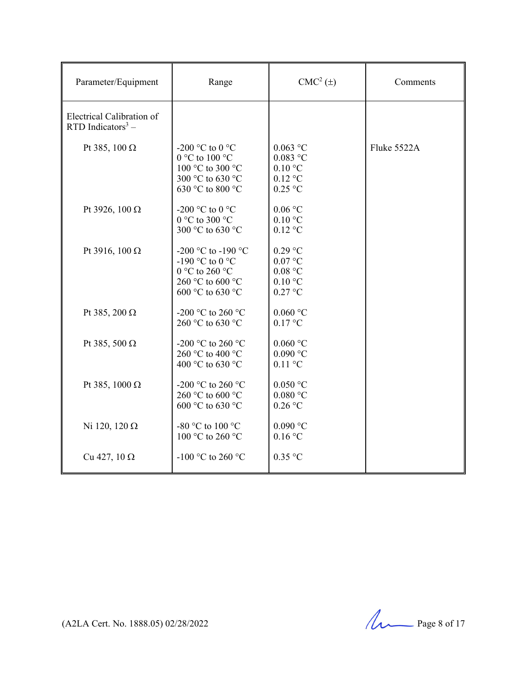| Parameter/Equipment                                        | Range                                                                                           | $CMC2(\pm)$                                                                                            | Comments    |
|------------------------------------------------------------|-------------------------------------------------------------------------------------------------|--------------------------------------------------------------------------------------------------------|-------------|
| Electrical Calibration of<br>RTD Indicators <sup>3</sup> – |                                                                                                 |                                                                                                        |             |
| Pt 385, 100 $\Omega$                                       | -200 °C to 0 °C<br>0 °C to 100 °C<br>100 °C to 300 °C<br>300 °C to 630 °C<br>630 °C to 800 °C   | $0.063$ °C<br>$0.083$ °C<br>$0.10\text{ °C}$<br>$0.12\ ^\circ\rm{C}$<br>$0.25$ °C                      | Fluke 5522A |
| Pt 3926, 100 $\Omega$                                      | -200 °C to 0 °C<br>0 °C to 300 °C<br>300 °C to 630 °C                                           | $0.06\,^{\circ}\mathrm{C}$<br>$0.10\ ^{\circ}\mathrm{C}$<br>$0.12$ °C                                  |             |
| Pt 3916, 100 Ω                                             | -200 °C to -190 °C<br>-190 °C to 0 °C<br>0 °C to 260 °C<br>260 °C to 600 °C<br>600 °C to 630 °C | $0.29$ °C<br>$0.07\ ^{\circ}\textrm{C}$<br>$0.08\ ^{\circ}\textrm{C}$<br>$0.10\text{ °C}$<br>$0.27$ °C |             |
| Pt 385, 200 $\Omega$                                       | -200 °C to 260 °C<br>260 °C to 630 °C                                                           | $0.060$ °C<br>$0.17$ °C                                                                                |             |
| Pt 385, 500 $\Omega$                                       | -200 °C to 260 °C<br>260 °C to 400 °C<br>400 °C to 630 °C                                       | $0.060$ °C<br>$0.090$ °C<br>$0.11$ °C                                                                  |             |
| Pt 385, 1000 $\Omega$                                      | -200 °C to 260 °C<br>260 °C to 600 °C<br>600 °C to 630 °C                                       | $0.050$ °C<br>$0.080\ ^{\circ}\mathrm{C}$<br>$0.26$ °C                                                 |             |
| Ni 120, 120 $\Omega$                                       | -80 °C to 100 °C<br>100 °C to 260 °C                                                            | $0.090$ °C<br>$0.16$ °C                                                                                |             |
| Cu 427, $10 \Omega$                                        | -100 °C to 260 °C                                                                               | $0.35$ °C                                                                                              |             |

(A2LA Cert. No. 1888.05) 02/28/2022 Page 8 of 17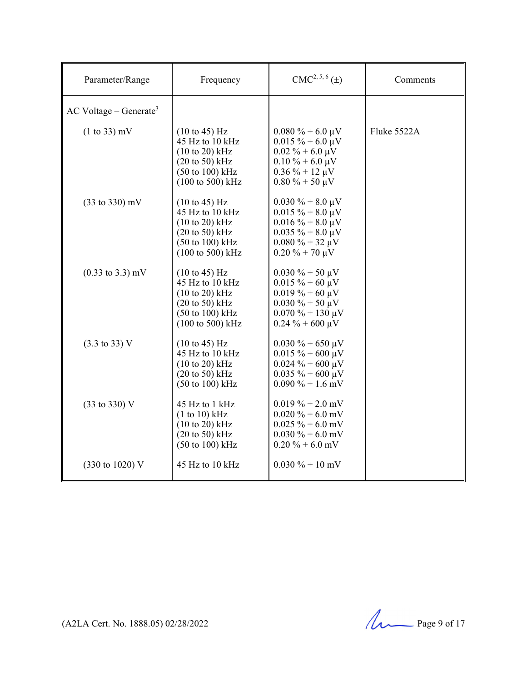| Parameter/Range                      | Frequency                                                                                                                                                                                  | $CMC2, 5, 6(\pm)$                                                                                                                                           | Comments    |
|--------------------------------------|--------------------------------------------------------------------------------------------------------------------------------------------------------------------------------------------|-------------------------------------------------------------------------------------------------------------------------------------------------------------|-------------|
| $AC$ Voltage – Generate <sup>3</sup> |                                                                                                                                                                                            |                                                                                                                                                             |             |
| $(1 to 33)$ mV                       | $(10 \text{ to } 45) \text{ Hz}$<br>45 Hz to 10 kHz<br>$(10 \text{ to } 20)$ kHz<br>$(20 \text{ to } 50)$ kHz<br>$(50 \text{ to } 100) \text{ kHz}$<br>$(100 \text{ to } 500) \text{ kHz}$ | $0.080\% + 6.0 \mu V$<br>$0.015 \% + 6.0 \mu V$<br>$0.02\% + 6.0\,\mu\text{V}$<br>$0.10\% + 6.0\,\mu\text{V}$<br>$0.36\% + 12 \mu V$<br>$0.80\% + 50 \mu V$ | Fluke 5522A |
| $(33 \text{ to } 330) \text{ mV}$    | $(10 \text{ to } 45) \text{ Hz}$<br>45 Hz to 10 kHz<br>$(10 \text{ to } 20)$ kHz<br>$(20 \text{ to } 50)$ kHz<br>$(50 \text{ to } 100) \text{ kHz}$<br>$(100 \text{ to } 500) \text{ kHz}$ | $0.030\% + 8.0\,\mu\text{V}$<br>$0.015 \% + 8.0 \mu V$<br>$0.016 \% + 8.0 \mu V$<br>$0.035 \% + 8.0 \mu V$<br>$0.080\% + 32 \mu V$<br>$0.20 \% + 70 \mu V$  |             |
| $(0.33 \text{ to } 3.3) \text{ mV}$  | $(10 \text{ to } 45) \text{ Hz}$<br>45 Hz to 10 kHz<br>$(10 \text{ to } 20)$ kHz<br>$(20 \text{ to } 50)$ kHz<br>$(50 \text{ to } 100) \text{ kHz}$<br>$(100 \text{ to } 500) \text{ kHz}$ | $0.030\% + 50 \mu V$<br>$0.015 \% + 60 \mu V$<br>$0.019\% + 60 \mu V$<br>$0.030\% + 50 \mu V$<br>$0.070\% + 130 \mu V$<br>$0.24 \% + 600 \mu V$             |             |
| $(3.3 \text{ to } 33) \text{ V}$     | $(10 \text{ to } 45)$ Hz<br>45 Hz to $10$ kHz<br>$(10 \text{ to } 20)$ kHz<br>$(20 \text{ to } 50)$ kHz<br>(50 to 100) kHz                                                                 | $0.030\% + 650 \mu V$<br>$0.015 \% + 600 \mu V$<br>$0.024 \% + 600 \mu V$<br>$0.035 \% + 600 \mu V$<br>$0.090\% + 1.6$ mV                                   |             |
| (33 to 330) V                        | 45 Hz to 1 kHz<br>(1 to 10) kHz<br>$(10 \text{ to } 20)$ kHz<br>$(20 \text{ to } 50)$ kHz<br>$(50 \text{ to } 100) \text{ kHz}$                                                            | $0.019\% + 2.0$ mV<br>$0.020 \% + 6.0$ mV<br>$0.025 \% + 6.0$ mV<br>$0.030\% + 6.0$ mV<br>$0.20\% + 6.0$ mV                                                 |             |
| (330 to 1020) V                      | 45 Hz to 10 kHz                                                                                                                                                                            | $0.030\% + 10$ mV                                                                                                                                           |             |

(A2LA Cert. No. 1888.05) 02/28/2022 Page 9 of 17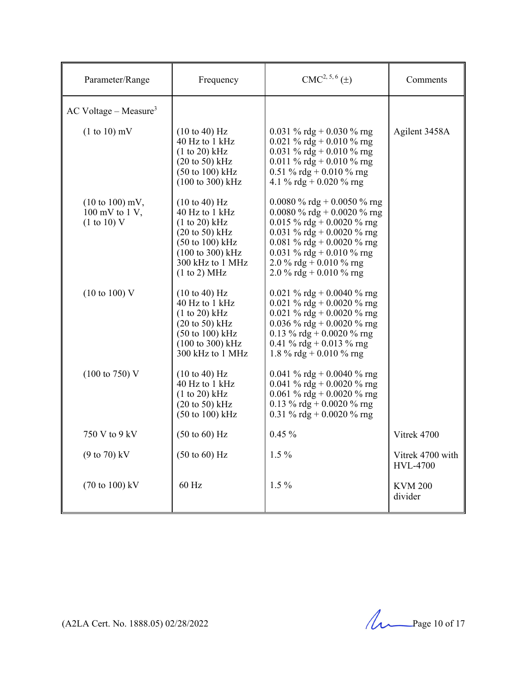| Parameter/Range                                                                         | Frequency                                                                                                                                                                                                                 | $CMC2, 5, 6(\pm)$                                                                                                                                                                                                                       | Comments                            |
|-----------------------------------------------------------------------------------------|---------------------------------------------------------------------------------------------------------------------------------------------------------------------------------------------------------------------------|-----------------------------------------------------------------------------------------------------------------------------------------------------------------------------------------------------------------------------------------|-------------------------------------|
| $AC$ Voltage – Measure <sup>3</sup>                                                     |                                                                                                                                                                                                                           |                                                                                                                                                                                                                                         |                                     |
| $(1 to 10)$ mV                                                                          | $(10 \text{ to } 40) \text{ Hz}$<br>40 Hz to 1 kHz<br>$(1 to 20)$ kHz<br>$(20 \text{ to } 50)$ kHz<br>$(50 \text{ to } 100) \text{ kHz}$<br>(100 to 300) kHz                                                              | 0.031 % rdg + 0.030 % rng<br>0.021 % rdg + 0.010 % rng<br>0.031 % rdg + 0.010 % rng<br>0.011 % rdg + 0.010 % rng<br>0.51 % rdg + 0.010 % rng<br>4.1 % rdg + 0.020 % rng                                                                 | Agilent 3458A                       |
| $(10 \text{ to } 100) \text{ mV},$<br>$100 \text{ mV}$ to $1 \text{V}$ ,<br>(1 to 10) V | $(10 \text{ to } 40) \text{ Hz}$<br>40 Hz to 1 kHz<br>(1 to 20) kHz<br>$(20 \text{ to } 50) \text{ kHz}$<br>$(50 \text{ to } 100) \text{ kHz}$<br>$(100 \text{ to } 300) \text{ kHz}$<br>300 kHz to 1 MHz<br>(1 to 2) MHz | 0.0080 % rdg + 0.0050 % rng<br>0.0080 % rdg + 0.0020 % rng<br>0.015 % rdg + 0.0020 % rng<br>0.031 % rdg + 0.0020 % rng<br>0.081 % rdg + 0.0020 % rng<br>0.031 % rdg + 0.010 % rng<br>2.0 % rdg + 0.010 % rng<br>2.0 % rdg + 0.010 % rng |                                     |
| $(10 \text{ to } 100) \text{ V}$                                                        | $(10 \text{ to } 40) \text{ Hz}$<br>40 Hz to 1 kHz<br>(1 to 20) kHz<br>$(20 \text{ to } 50)$ kHz<br>$(50 \text{ to } 100) \text{ kHz}$<br>(100 to 300) kHz<br>300 kHz to 1 MHz                                            | 0.021 % rdg + 0.0040 % rng<br>0.021 % rdg + 0.0020 % rng<br>0.021 % rdg + 0.0020 % rng<br>0.036 % rdg + 0.0020 % rng<br>0.13 % rdg + 0.0020 % rng<br>0.41 % rdg + 0.013 % rng<br>1.8 % rdg + 0.010 % rng                                |                                     |
| $(100 \text{ to } 750) \text{ V}$                                                       | $(10 \text{ to } 40) \text{ Hz}$<br>40 Hz to 1 kHz<br>$(1 to 20)$ kHz<br>$(20 \text{ to } 50)$ kHz<br>$(50 \text{ to } 100) \text{ kHz}$                                                                                  | 0.041 % rdg + 0.0040 % rng<br>0.041 % rdg + 0.0020 % rng<br>0.061 % rdg + 0.0020 % rng<br>0.13 % rdg + 0.0020 % rng<br>0.31 % rdg + 0.0020 % rng                                                                                        |                                     |
| 750 V to 9 kV                                                                           | $(50 \text{ to } 60)$ Hz                                                                                                                                                                                                  | $0.45\%$                                                                                                                                                                                                                                | Vitrek 4700                         |
| $(9 to 70)$ kV                                                                          | $(50 \text{ to } 60)$ Hz                                                                                                                                                                                                  | $1.5\%$                                                                                                                                                                                                                                 | Vitrek 4700 with<br><b>HVL-4700</b> |
| $(70 \text{ to } 100) \text{ kV}$                                                       | 60 Hz                                                                                                                                                                                                                     | $1.5\%$                                                                                                                                                                                                                                 | <b>KVM 200</b><br>divider           |

(A2LA Cert. No. 1888.05) 02/28/2022 Page 10 of 17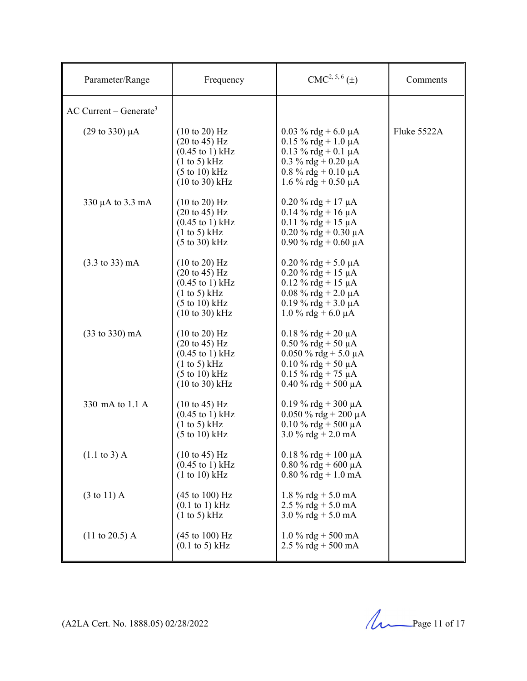| Parameter/Range                      | Frequency                                                                                                                                                                                   | $CMC2, 5, 6(\pm)$                                                                                                                                             | Comments    |
|--------------------------------------|---------------------------------------------------------------------------------------------------------------------------------------------------------------------------------------------|---------------------------------------------------------------------------------------------------------------------------------------------------------------|-------------|
| $AC$ Current – Generate <sup>3</sup> |                                                                                                                                                                                             |                                                                                                                                                               |             |
| $(29 \text{ to } 330) \mu\text{A}$   | $(10 \text{ to } 20)$ Hz<br>$(20 \text{ to } 45) \text{ Hz}$<br>$(0.45 \text{ to } 1) \text{ kHz}$<br>(1 to 5) kHz<br>$(5 \text{ to } 10) \text{ kHz}$<br>$(10 \text{ to } 30) \text{ kHz}$ | $0.03 \%$ rdg + 6.0 µA<br>$0.15 \%$ rdg + 1.0 µA<br>$0.13 \%$ rdg + 0.1 µA<br>0.3 % rdg + 0.20 $\mu$ A<br>$0.8\%$ rdg + $0.10 \mu A$<br>$1.6\%$ rdg + 0.50 µA | Fluke 5522A |
| $330 \mu A$ to 3.3 mA                | $(10 \text{ to } 20)$ Hz<br>$(20 \text{ to } 45) \text{ Hz}$<br>$(0.45 \text{ to } 1) \text{ kHz}$<br>$(1 \text{ to } 5)$ kHz<br>$(5 \text{ to } 30)$ kHz                                   | $0.20 \%$ rdg + 17 µA<br>$0.14 \%$ rdg + 16 µA<br>$0.11 \%$ rdg + 15 µA<br>$0.20 \%$ rdg + 0.30 µA<br>$0.90\%$ rdg + 0.60 µA                                  |             |
| $(3.3 \text{ to } 33) \text{ mA}$    | $(10 \text{ to } 20)$ Hz<br>$(20 \text{ to } 45) \text{ Hz}$<br>$(0.45 \text{ to } 1) \text{ kHz}$<br>$(1 \text{ to } 5)$ kHz<br>(5 to 10) kHz<br>$(10 \text{ to } 30) \text{ kHz}$         | $0.20 \%$ rdg + 5.0 µA<br>$0.20 \%$ rdg + 15 µA<br>$0.12 \%$ rdg + 15 µA<br>$0.08 \%$ rdg + 2.0 µA<br>$0.19 \%$ rdg + 3.0 µA<br>$1.0\%$ rdg + 6.0 µA          |             |
| $(33 \text{ to } 330) \text{ mA}$    | $(10 \text{ to } 20)$ Hz<br>$(20 \text{ to } 45) \text{ Hz}$<br>$(0.45 \text{ to } 1) \text{ kHz}$<br>(1 to 5) kHz<br>$(5 \text{ to } 10) \text{ kHz}$<br>$(10 \text{ to } 30) \text{ kHz}$ | $0.18 \%$ rdg + 20 µA<br>$0.50 \%$ rdg + 50 µA<br>$0.050 \%$ rdg + 5.0 µA<br>$0.10 \%$ rdg + 50 µA<br>$0.15 \%$ rdg + 75 µA<br>$0.40 \%$ rdg + 500 µA         |             |
| 330 mA to 1.1 A                      | $(10 \text{ to } 45)$ Hz<br>$(0.45 \text{ to } 1) \text{ kHz}$<br>(1 to 5) kHz<br>$(5 \text{ to } 10) \text{ kHz}$                                                                          | $0.19\%$ rdg + 300 µA<br>$0.050 \%$ rdg + 200 µA<br>$0.10 \%$ rdg + 500 µA<br>$3.0\%$ rdg + 2.0 mA                                                            |             |
| $(1.1 \text{ to } 3)$ A              | $(10 \text{ to } 45) \text{ Hz}$<br>$(0.45 \text{ to } 1) \text{ kHz}$<br>(1 to 10) kHz                                                                                                     | $0.18 \%$ rdg + 100 µA<br>$0.80\%$ rdg + 600 µA<br>$0.80\%$ rdg + 1.0 mA                                                                                      |             |
| $(3 \text{ to } 11)$ A               | $(45 \text{ to } 100) \text{ Hz}$<br>$(0.1 \text{ to } 1) \text{ kHz}$<br>$(1 \text{ to } 5)$ kHz                                                                                           | 1.8 % rdg + 5.0 mA<br>$2.5\%$ rdg + 5.0 mA<br>$3.0\%$ rdg + 5.0 mA                                                                                            |             |
| $(11 \text{ to } 20.5)$ A            | $(45 \text{ to } 100) \text{ Hz}$<br>$(0.1 \text{ to } 5) \text{ kHz}$                                                                                                                      | $1.0\%$ rdg + 500 mA<br>2.5 % rdg + 500 mA                                                                                                                    |             |

(A2LA Cert. No. 1888.05) 02/28/2022 2022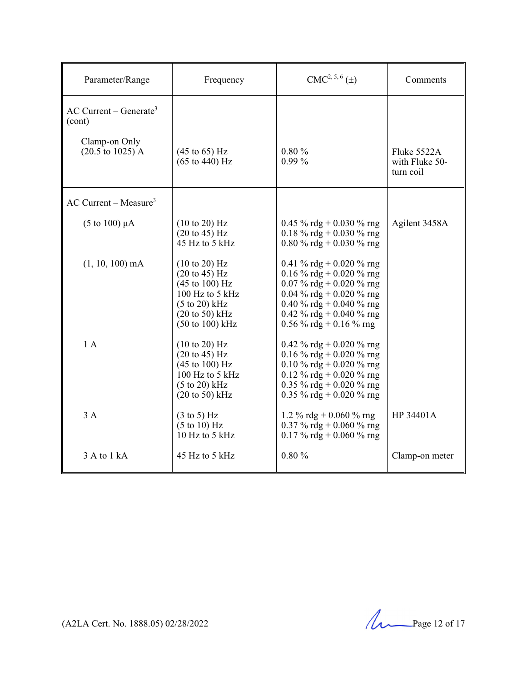| Parameter/Range                                | Frequency                                                                                                                                                                                                             | $CMC2, 5, 6(\pm)$                                                                                                                                                                                 | Comments                                   |
|------------------------------------------------|-----------------------------------------------------------------------------------------------------------------------------------------------------------------------------------------------------------------------|---------------------------------------------------------------------------------------------------------------------------------------------------------------------------------------------------|--------------------------------------------|
| $AC$ Current – Generate <sup>3</sup><br>(cont) |                                                                                                                                                                                                                       |                                                                                                                                                                                                   |                                            |
| Clamp-on Only<br>$(20.5 \text{ to } 1025)$ A   | $(45 \text{ to } 65) \text{ Hz}$<br>$(65 \text{ to } 440) \text{ Hz}$                                                                                                                                                 | 0.80%<br>$0.99\%$                                                                                                                                                                                 | Fluke 5522A<br>with Fluke 50-<br>turn coil |
| $AC$ Current – Measure <sup>3</sup>            |                                                                                                                                                                                                                       |                                                                                                                                                                                                   |                                            |
| $(5 \text{ to } 100) \mu\text{A}$              | $(10 \text{ to } 20)$ Hz<br>$(20 \text{ to } 45) \text{ Hz}$<br>45 Hz to 5 kHz                                                                                                                                        | 0.45 % rdg + 0.030 % rng<br>0.18 % rdg + 0.030 % rng<br>0.80 % rdg + 0.030 % rng                                                                                                                  | Agilent 3458A                              |
| $(1, 10, 100)$ mA                              | $(10 \text{ to } 20)$ Hz<br>$(20 \text{ to } 45) \text{ Hz}$<br>$(45 \text{ to } 100) \text{ Hz}$<br>$100$ Hz to 5 kHz<br>$(5 \text{ to } 20)$ kHz<br>$(20 \text{ to } 50)$ kHz<br>$(50 \text{ to } 100) \text{ kHz}$ | 0.41 % rdg + 0.020 % rng<br>0.16 % rdg + 0.020 % rng<br>0.07 % rdg + 0.020 % rng<br>0.04 % rdg + 0.020 % rng<br>0.40 % rdg + 0.040 % rng<br>0.42 % rdg + 0.040 % rng<br>$0.56\%$ rdg + 0.16 % rng |                                            |
| 1A                                             | $(10 \text{ to } 20)$ Hz<br>$(20 \text{ to } 45)$ Hz<br>$(45 \text{ to } 100) \text{ Hz}$<br>100 Hz to 5 kHz<br>$(5 \text{ to } 20)$ kHz<br>$(20 \text{ to } 50)$ kHz                                                 | 0.42 % rdg + 0.020 % rng<br>0.16 % rdg + 0.020 % rng<br>0.10 % rdg + 0.020 % rng<br>0.12 % rdg + 0.020 % rng<br>0.35 % rdg + 0.020 % rng<br>0.35 % rdg + 0.020 % rng                              |                                            |
| 3A                                             | $(3 \text{ to } 5)$ Hz<br>$(5 \text{ to } 10)$ Hz<br>10 Hz to 5 kHz                                                                                                                                                   | 1.2 % rdg + 0.060 % rng<br>0.37 % rdg + 0.060 % rng<br>0.17 % rdg + 0.060 % rng                                                                                                                   | HP 34401A                                  |
| 3 A to 1 kA                                    | 45 Hz to 5 $kHz$                                                                                                                                                                                                      | 0.80%                                                                                                                                                                                             | Clamp-on meter                             |

(A2LA Cert. No. 1888.05) 02/28/2022 Page 12 of 17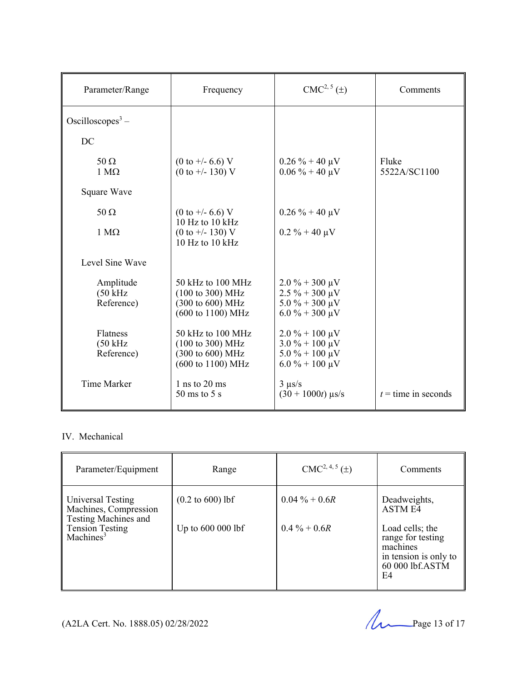| Parameter/Range                               | Frequency                                                                                                            | CMC <sup>2, 5</sup> (±)                                                                                                  | Comments              |
|-----------------------------------------------|----------------------------------------------------------------------------------------------------------------------|--------------------------------------------------------------------------------------------------------------------------|-----------------------|
| Oscilloscopes <sup>3</sup> –                  |                                                                                                                      |                                                                                                                          |                       |
| DC                                            |                                                                                                                      |                                                                                                                          |                       |
| $50 \Omega$<br>$1 M\Omega$                    | $(0 \text{ to } +/- 6.6)$ V<br>$(0 \text{ to } +/- 130)$ V                                                           | $0.26\% + 40 \,\mu\text{V}$<br>$0.06\% + 40 \mu V$                                                                       | Fluke<br>5522A/SC1100 |
| Square Wave                                   |                                                                                                                      |                                                                                                                          |                       |
| $50 \Omega$                                   | $(0 \text{ to } +/- 6.6)$ V                                                                                          | $0.26\% + 40 \mu V$                                                                                                      |                       |
| $1 M\Omega$                                   | 10 Hz to 10 kHz<br>$(0 \text{ to } +/- 130)$ V<br>10 Hz to $10$ kHz                                                  | $0.2 \% + 40 \mu V$                                                                                                      |                       |
| Level Sine Wave                               |                                                                                                                      |                                                                                                                          |                       |
| Amplitude<br>$(50 \text{ kHz})$<br>Reference) | 50 kHz to 100 MHz<br>$(100 \text{ to } 300) \text{ MHz}$<br>(300 to 600) MHz<br>$(600 \text{ to } 1100) \text{ MHz}$ | $2.0\% + 300 \,\mu\text{V}$<br>$2.5\% + 300 \,\mu\text{V}$<br>$5.0 \% + 300 \mu V$<br>$6.0\% + 300 \,\mu\text{V}$        |                       |
| Flatness<br>$(50 \text{ kHz})$<br>Reference)  | 50 kHz to 100 MHz<br>$(100 \text{ to } 300) \text{ MHz}$<br>$(300 \text{ to } 600) \text{ MHz}$<br>(600 to 1100) MHz | $2.0\% + 100 \,\mu\text{V}$<br>$3.0\% + 100 \,\mu\text{V}$<br>$5.0\% + 100 \,\mu\text{V}$<br>$6.0\% + 100 \,\mu\text{V}$ |                       |
| <b>Time Marker</b>                            | 1 ns to $20$ ms<br>$50 \text{ ms}$ to $5 \text{ s}$                                                                  | $3 \mu s/s$<br>$(30 + 1000t)$ µs/s                                                                                       | $t =$ time in seconds |

## IV. Mechanical

| Parameter/Equipment                                                | Range                               | $CMC2, 4, 5(\pm)$ | Comments                                                                                           |
|--------------------------------------------------------------------|-------------------------------------|-------------------|----------------------------------------------------------------------------------------------------|
| Universal Testing<br>Machines, Compression<br>Testing Machines and | $(0.2 \text{ to } 600) \text{ lbf}$ | $0.04\% + 0.6R$   | Deadweights,<br><b>ASTME4</b>                                                                      |
| <b>Tension Testing</b><br>Machines <sup>3</sup>                    | Up to 600 000 lbf                   | $0.4\% + 0.6R$    | Load cells; the<br>range for testing<br>machines<br>in tension is only to<br>60 000 lbf.ASTM<br>E4 |

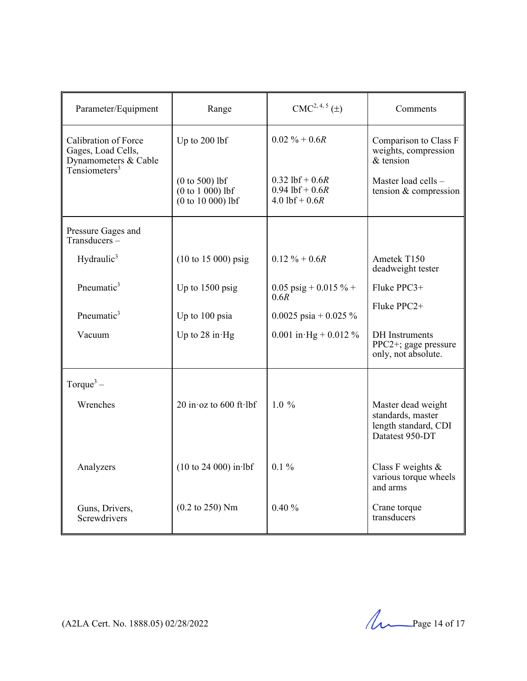| Parameter/Equipment                                                                    | Range                                                         | $CMC2, 4, 5(\pm)$                                                | Comments                                                                           |
|----------------------------------------------------------------------------------------|---------------------------------------------------------------|------------------------------------------------------------------|------------------------------------------------------------------------------------|
| Calibration of Force<br>Gages, Load Cells,<br>Dynamometers & Cable<br>Tensiometers $3$ | Up to 200 lbf                                                 | $0.02 \% + 0.6R$                                                 | Comparison to Class F<br>weights, compression<br>$&$ tension                       |
|                                                                                        | $(0 to 500)$ lbf<br>$(0 to 1 000)$ lbf<br>$(0 to 10 000)$ lbf | $0.32$ lbf + $0.6R$<br>$0.94$ lbf + $0.6R$<br>$4.0$ lbf + $0.6R$ | Master load cells -<br>tension & compression                                       |
| Pressure Gages and<br>$Transducers -$                                                  |                                                               |                                                                  |                                                                                    |
| Hydraulic <sup>3</sup>                                                                 | $(10 \text{ to } 15 \, 000) \text{ psig}$                     | $0.12 \% + 0.6R$                                                 | Ametek T150<br>deadweight tester                                                   |
| Pneumatic <sup>3</sup>                                                                 | Up to 1500 psig                                               | 0.05 psig + 0.015 % +<br>0.6R                                    | Fluke PPC3+                                                                        |
| Pneumatic <sup>3</sup>                                                                 | Up to 100 psia                                                | 0.0025 psia + 0.025 $\%$                                         | Fluke PPC2+                                                                        |
| Vacuum                                                                                 | Up to $28$ in Hg                                              | 0.001 in Hg + 0.012 %                                            | <b>DH</b> Instruments<br>PPC2+; gage pressure<br>only, not absolute.               |
| Torque <sup>3</sup> –                                                                  |                                                               |                                                                  |                                                                                    |
| Wrenches                                                                               | 20 in $\alpha$ to 600 ft lbf                                  | $1.0 \%$                                                         | Master dead weight<br>standards, master<br>length standard, CDI<br>Datatest 950-DT |
| Analyzers                                                                              | $(10 \text{ to } 24 \text{ 000})$ in lbf                      | $0.1\%$                                                          | Class F weights $\&$<br>various torque wheels<br>and arms                          |
| Guns, Drivers,<br>Screwdrivers                                                         | $(0.2 \text{ to } 250)$ Nm                                    | 0.40%                                                            | Crane torque<br>transducers                                                        |

(A2LA Cert. No. 1888.05) 02/28/2022 Page 14 of 17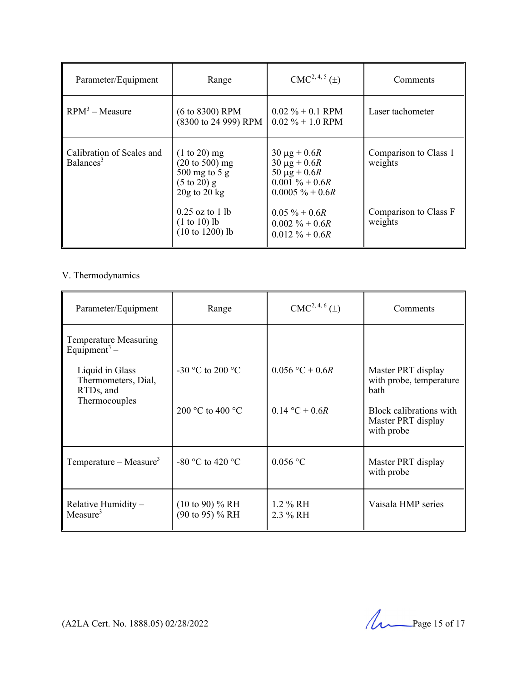| Parameter/Equipment                                | Range                                                                                                                                                                     | $CMC2, 4, 5(\pm)$                                                                                                                                                            | Comments                                                             |
|----------------------------------------------------|---------------------------------------------------------------------------------------------------------------------------------------------------------------------------|------------------------------------------------------------------------------------------------------------------------------------------------------------------------------|----------------------------------------------------------------------|
| $RPM3 - Measure$                                   | $(6 \text{ to } 8300)$ RPM<br>(8300 to 24 999) RPM                                                                                                                        | $0.02\% + 0.1$ RPM<br>$0.02\% + 1.0$ RPM                                                                                                                                     | Laser tachometer                                                     |
| Calibration of Scales and<br>Balances <sup>3</sup> | $(1 to 20)$ mg<br>$(20 \text{ to } 500)$ mg<br>$500$ mg to $5$ g<br>$(5 \text{ to } 20)$ g<br>$20g$ to $20kg$<br>$0.25$ oz to 1 lb<br>$(1 to 10)$ lb<br>$(10 to 1200)$ lb | $30 \mu g + 0.6 R$<br>$30 \mu g + 0.6 R$<br>50 $\mu$ g + 0.6 <i>R</i><br>$0.001\% + 0.6R$<br>$0.0005 \% + 0.6R$<br>$0.05 \% + 0.6R$<br>$0.002\% + 0.6R$<br>$0.012 \% + 0.6R$ | Comparison to Class 1<br>weights<br>Comparison to Class F<br>weights |

### V. Thermodynamics

| Parameter/Equipment                                      | Range                                         | CMC <sup>2, 4, 6</sup> ( <u>±</u> ) | Comments                                                    |
|----------------------------------------------------------|-----------------------------------------------|-------------------------------------|-------------------------------------------------------------|
| <b>Temperature Measuring</b><br>Equipment <sup>3</sup> – |                                               |                                     |                                                             |
| Liquid in Glass<br>Thermometers, Dial,<br>RTDs, and      | -30 °C to 200 °C                              | $0.056 °C + 0.6R$                   | Master PRT display<br>with probe, temperature<br>bath       |
| Thermocouples                                            | 200 °C to 400 °C                              | $0.14 °C + 0.6R$                    | Block calibrations with<br>Master PRT display<br>with probe |
| Temperature – Measure <sup>3</sup>                       | -80 °C to 420 °C                              | $0.056$ °C                          | Master PRT display<br>with probe                            |
| Relative Humidity -<br>Measure <sup>3</sup>              | $(10 \text{ to } 90)$ % RH<br>(90 to 95) % RH | $1.2 \% RH$<br>2.3 % RH             | Vaisala HMP series                                          |

(A2LA Cert. No. 1888.05) 02/28/2022 2022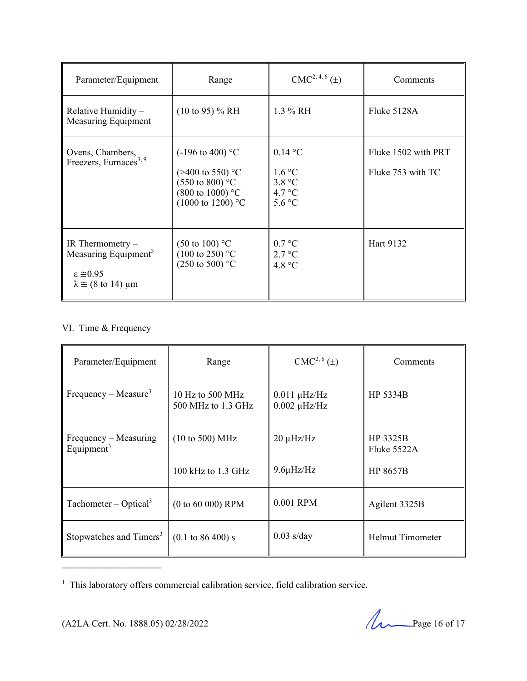| Parameter/Equipment                                                                                                                | Range                                                                                                                                                   | $CMC2, 4, 6(\pm)$                                        | Comments                                 |
|------------------------------------------------------------------------------------------------------------------------------------|---------------------------------------------------------------------------------------------------------------------------------------------------------|----------------------------------------------------------|------------------------------------------|
| Relative Humidity $-$<br>Measuring Equipment                                                                                       | $(10 \text{ to } 95)$ % RH                                                                                                                              | $1.3\%$ RH                                               | Fluke 5128A                              |
| Ovens, Chambers,<br>Freezers, Furnaces <sup>3, 9</sup>                                                                             | $(-196 \text{ to } 400)$ °C<br>$(>400 \text{ to } 550)$ °C<br>$(550 \text{ to } 800)$ °C<br>$(800 \text{ to } 1000)$ °C<br>$(1000 \text{ to } 1200)$ °C | $0.14\text{ °C}$<br>1.6 °C<br>3.8 °C<br>4.7 °C<br>5.6 °C | Fluke 1502 with PRT<br>Fluke 753 with TC |
| IR Thermometry $-$<br>Measuring Equipment <sup>3</sup><br>$\epsilon \approx 0.95$<br>$\lambda \cong (8 \text{ to } 14) \text{ µm}$ | $(50 \text{ to } 100)$ °C<br>$(100 \text{ to } 250)$ °C<br>$(250 \text{ to } 500)$ °C                                                                   | 0.7 °C<br>2.7 °C<br>4.8 °C                               | Hart 9132                                |

# VI. Time & Frequency

| Parameter/Equipment                    | Range                                                      | $CMC2, 6(\pm)$                         | Comments                                   |
|----------------------------------------|------------------------------------------------------------|----------------------------------------|--------------------------------------------|
| Frequency – Measure <sup>3</sup>       | 10 Hz to 500 MHz<br>500 MHz to 1.3 GHz                     | $0.011 \mu$ Hz/Hz<br>$0.002 \mu$ Hz/Hz | HP 5334B                                   |
| Frequency – Measuring<br>Equipment $3$ | $(10 \text{ to } 500) \text{ MHz}$<br>100 kHz to $1.3$ GHz | $20 \mu$ Hz/Hz<br>$9.6\mu$ Hz/Hz       | HP 3325B<br>Fluke 5522A<br><b>HP 8657B</b> |
| Tachometer – Optical <sup>3</sup>      | $(0 to 60 000)$ RPM                                        | 0.001 RPM                              | Agilent 3325B                              |
| Stopwatches and Timers <sup>3</sup>    | $(0.1 \text{ to } 86\,400) \text{ s}$                      | $0.03$ s/day                           | <b>Helmut Timometer</b>                    |

<sup>&</sup>lt;sup>1</sup> This laboratory offers commercial calibration service, field calibration service.

(A2LA Cert. No. 1888.05) 02/28/2022 Page 16 of 17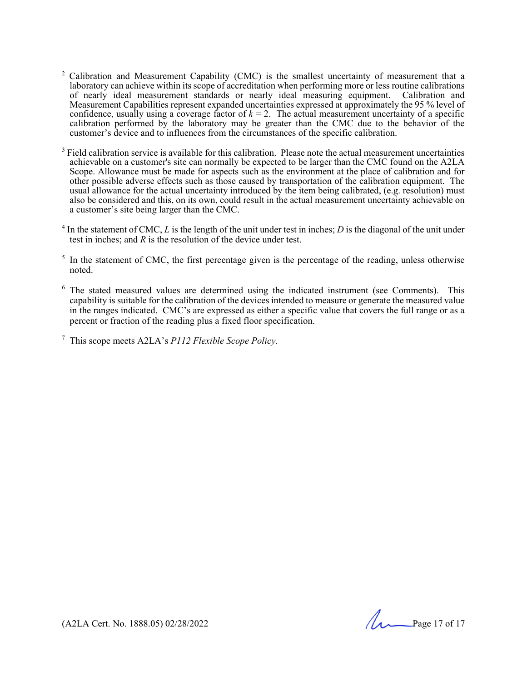- $2$  Calibration and Measurement Capability (CMC) is the smallest uncertainty of measurement that a laboratory can achieve within its scope of accreditation when performing more or less routine calibrations of nearly ideal measurement standards or nearly ideal measuring equipment. Calibration and Measurement Capabilities represent expanded uncertainties expressed at approximately the 95 % level of confidence, usually using a coverage factor of  $k = 2$ . The actual measurement uncertainty of a specific calibration performed by the laboratory may be greater than the CMC due to the behavior of the customer's device and to influences from the circumstances of the specific calibration.
- $3$  Field calibration service is available for this calibration. Please note the actual measurement uncertainties achievable on a customer's site can normally be expected to be larger than the CMC found on the A2LA Scope. Allowance must be made for aspects such as the environment at the place of calibration and for other possible adverse effects such as those caused by transportation of the calibration equipment. The usual allowance for the actual uncertainty introduced by the item being calibrated, (e.g. resolution) must also be considered and this, on its own, could result in the actual measurement uncertainty achievable on a customer's site being larger than the CMC.
- $4$  In the statement of CMC,  $L$  is the length of the unit under test in inches;  $D$  is the diagonal of the unit under test in inches; and *R* is the resolution of the device under test.
- $<sup>5</sup>$  In the statement of CMC, the first percentage given is the percentage of the reading, unless otherwise</sup> noted.
- <sup>6</sup> The stated measured values are determined using the indicated instrument (see Comments). This capability is suitable for the calibration of the devices intended to measure or generate the measured value in the ranges indicated. CMC's are expressed as either a specific value that covers the full range or as a percent or fraction of the reading plus a fixed floor specification.

7 This scope meets A2LA's *P112 Flexible Scope Policy*.

(A2LA Cert. No. 1888.05) 02/28/2022 Page 17 of 17